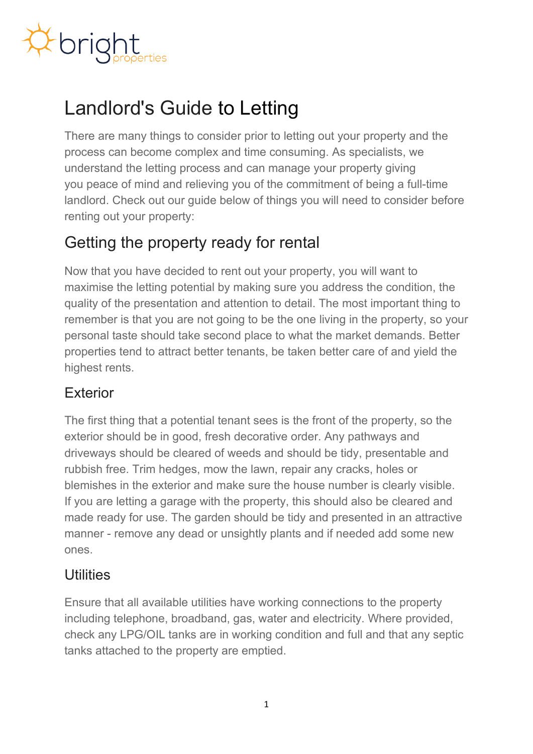

# Landlord's Guide to Letting

There are many things to consider prior to letting out your property and the process can become complex and time consuming. As specialists, we understand the letting process and can manage your property giving you peace of mind and relieving you of the commitment of being a full-time landlord. Check out our guide below of things you will need to consider before renting out your property:

## Getting the property ready for rental

Now that you have decided to rent out your property, you will want to maximise the letting potential by making sure you address the condition, the quality of the presentation and attention to detail. The most important thing to remember is that you are not going to be the one living in the property, so your personal taste should take second place to what the market demands. Better properties tend to attract better tenants, be taken better care of and yield the highest rents.

#### **Exterior**

The first thing that a potential tenant sees is the front of the property, so the exterior should be in good, fresh decorative order. Any pathways and driveways should be cleared of weeds and should be tidy, presentable and rubbish free. Trim hedges, mow the lawn, repair any cracks, holes or blemishes in the exterior and make sure the house number is clearly visible. If you are letting a garage with the property, this should also be cleared and made ready for use. The garden should be tidy and presented in an attractive manner - remove any dead or unsightly plants and if needed add some new ones.

#### Utilities

Ensure that all available utilities have working connections to the property including telephone, broadband, gas, water and electricity. Where provided, check any LPG/OIL tanks are in working condition and full and that any septic tanks attached to the property are emptied.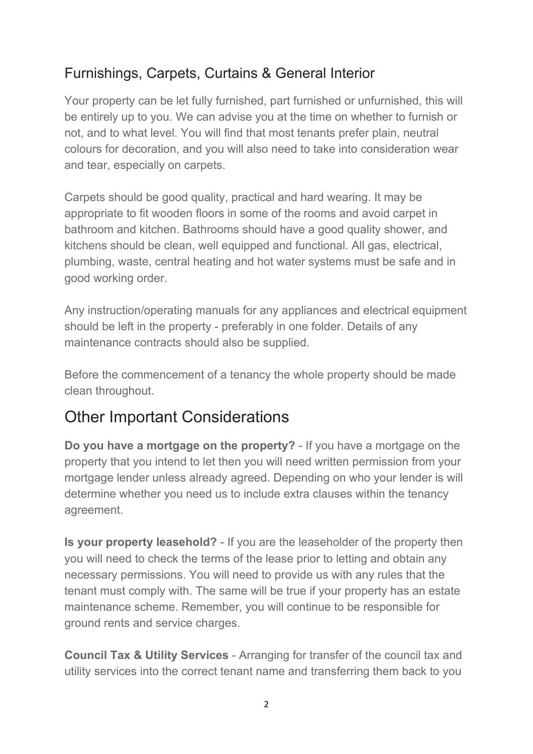#### Furnishings, Carpets, Curtains & General Interior

Your property can be let fully furnished, part furnished or unfurnished, this will be entirely up to you. We can advise you at the time on whether to furnish or not, and to what level. You will find that most tenants prefer plain, neutral colours for decoration, and you will also need to take into consideration wear and tear, especially on carpets.

Carpets should be good quality, practical and hard wearing. It may be appropriate to fit wooden floors in some of the rooms and avoid carpet in bathroom and kitchen. Bathrooms should have a good quality shower, and kitchens should be clean, well equipped and functional. All gas, electrical, plumbing, waste, central heating and hot water systems must be safe and in good working order.

Any instruction/operating manuals for any appliances and electrical equipment should be left in the property - preferably in one folder. Details of any maintenance contracts should also be supplied.

Before the commencement of a tenancy the whole property should be made clean throughout.

# Other Important Considerations

**Do you have a mortgage on the property?** - If you have a mortgage on the property that you intend to let then you will need written permission from your mortgage lender unless already agreed. Depending on who your lender is will determine whether you need us to include extra clauses within the tenancy agreement.

**Is your property leasehold?** - If you are the leaseholder of the property then you will need to check the terms of the lease prior to letting and obtain any necessary permissions. You will need to provide us with any rules that the tenant must comply with. The same will be true if your property has an estate maintenance scheme. Remember, you will continue to be responsible for ground rents and service charges.

**Council Tax & Utility Services** - Arranging for transfer of the council tax and utility services into the correct tenant name and transferring them back to you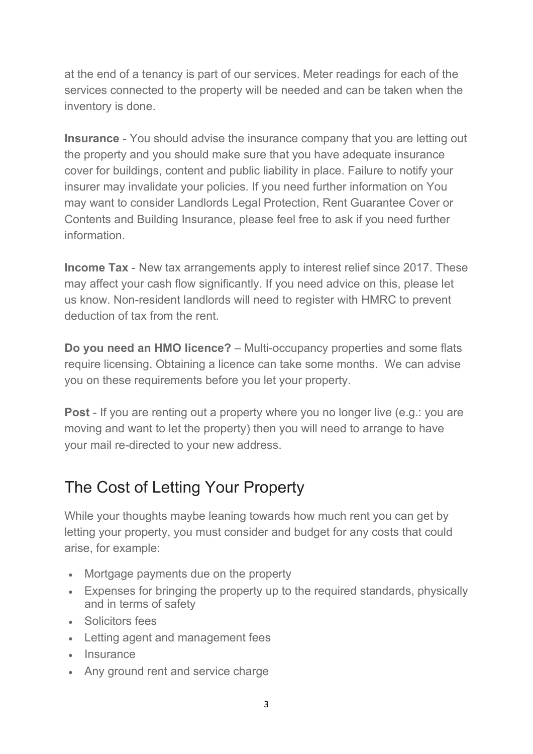at the end of a tenancy is part of our services. Meter readings for each of the services connected to the property will be needed and can be taken when the inventory is done.

**Insurance** - You should advise the insurance company that you are letting out the property and you should make sure that you have adequate insurance cover for buildings, content and public liability in place. Failure to notify your insurer may invalidate your policies. If you need further information on You may want to consider Landlords Legal Protection, Rent Guarantee Cover or Contents and Building Insurance, please feel free to ask if you need further information.

**Income Tax** - New tax arrangements apply to interest relief since 2017. These may affect your cash flow significantly. If you need advice on this, please let us know. Non-resident landlords will need to register with HMRC to prevent deduction of tax from the rent.

**Do you need an HMO licence?** – Multi-occupancy properties and some flats require licensing. Obtaining a licence can take some months. We can advise you on these requirements before you let your property.

**Post** - If you are renting out a property where you no longer live (e.g.: you are moving and want to let the property) then you will need to arrange to have your mail re-directed to your new address.

# The Cost of Letting Your Property

While your thoughts maybe leaning towards how much rent you can get by letting your property, you must consider and budget for any costs that could arise, for example:

- Mortgage payments due on the property
- Expenses for bringing the property up to the required standards, physically and in terms of safety
- Solicitors fees
- Letting agent and management fees
- Insurance
- Any ground rent and service charge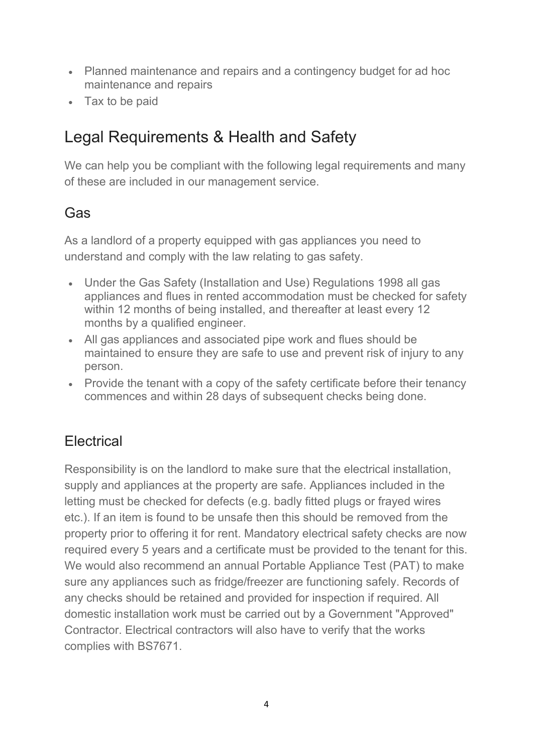- Planned maintenance and repairs and a contingency budget for ad hoc maintenance and repairs
- Tax to be paid

# Legal Requirements & Health and Safety

We can help you be compliant with the following legal requirements and many of these are included in our management service.

#### Gas

As a landlord of a property equipped with gas appliances you need to understand and comply with the law relating to gas safety.

- Under the Gas Safety (Installation and Use) Regulations 1998 all gas appliances and flues in rented accommodation must be checked for safety within 12 months of being installed, and thereafter at least every 12 months by a qualified engineer.
- All gas appliances and associated pipe work and flues should be maintained to ensure they are safe to use and prevent risk of injury to any person.
- Provide the tenant with a copy of the safety certificate before their tenancy commences and within 28 days of subsequent checks being done.

#### **Electrical**

Responsibility is on the landlord to make sure that the electrical installation, supply and appliances at the property are safe. Appliances included in the letting must be checked for defects (e.g. badly fitted plugs or frayed wires etc.). If an item is found to be unsafe then this should be removed from the property prior to offering it for rent. Mandatory electrical safety checks are now required every 5 years and a certificate must be provided to the tenant for this. We would also recommend an annual Portable Appliance Test (PAT) to make sure any appliances such as fridge/freezer are functioning safely. Records of any checks should be retained and provided for inspection if required. All domestic installation work must be carried out by a Government "Approved" Contractor. Electrical contractors will also have to verify that the works complies with BS7671.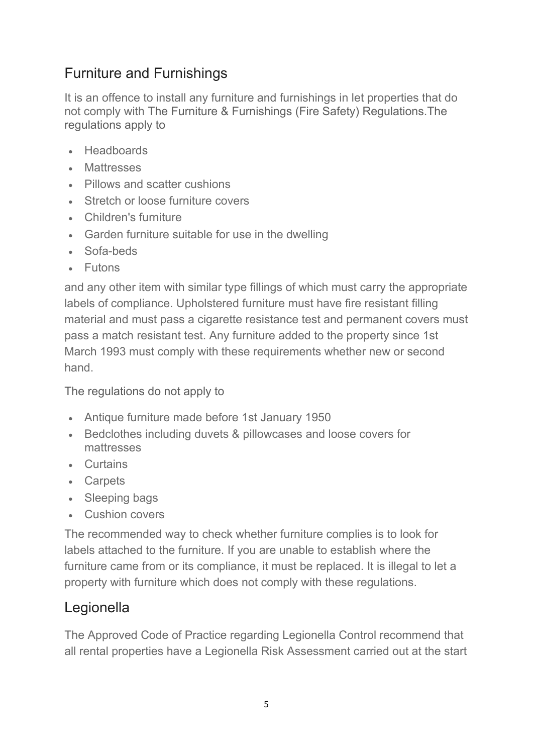## Furniture and Furnishings

It is an offence to install any furniture and furnishings in let properties that do not comply with The Furniture & Furnishings (Fire Safety) Regulations.The regulations apply to

- **Headboards**
- Mattresses
- Pillows and scatter cushions
- Stretch or loose furniture covers
- Children's furniture
- Garden furniture suitable for use in the dwelling
- Sofa-beds
- Futons

and any other item with similar type fillings of which must carry the appropriate labels of compliance. Upholstered furniture must have fire resistant filling material and must pass a cigarette resistance test and permanent covers must pass a match resistant test. Any furniture added to the property since 1st March 1993 must comply with these requirements whether new or second hand.

The regulations do not apply to

- Antique furniture made before 1st January 1950
- Bedclothes including duvets & pillowcases and loose covers for mattresses
- Curtains
- Carpets
- Sleeping bags
- Cushion covers

The recommended way to check whether furniture complies is to look for labels attached to the furniture. If you are unable to establish where the furniture came from or its compliance, it must be replaced. It is illegal to let a property with furniture which does not comply with these regulations.

#### **Legionella**

The Approved Code of Practice regarding Legionella Control recommend that all rental properties have a Legionella Risk Assessment carried out at the start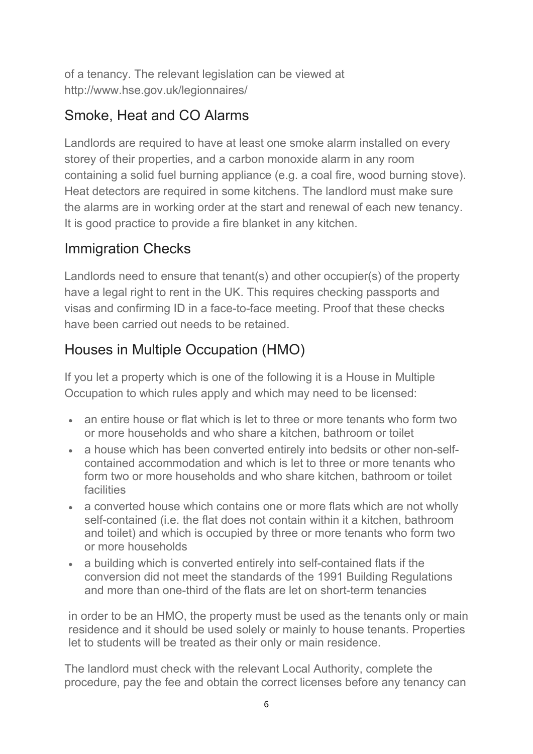of a tenancy. The relevant legislation can be viewed at http://www.hse.gov.uk/legionnaires/

#### Smoke, Heat and CO Alarms

Landlords are required to have at least one smoke alarm installed on every storey of their properties, and a carbon monoxide alarm in any room containing a solid fuel burning appliance (e.g. a coal fire, wood burning stove). Heat detectors are required in some kitchens. The landlord must make sure the alarms are in working order at the start and renewal of each new tenancy. It is good practice to provide a fire blanket in any kitchen.

## Immigration Checks

Landlords need to ensure that tenant(s) and other occupier(s) of the property have a legal right to rent in the UK. This requires checking passports and visas and confirming ID in a face-to-face meeting. Proof that these checks have been carried out needs to be retained.

## Houses in Multiple Occupation (HMO)

If you let a property which is one of the following it is a House in Multiple Occupation to which rules apply and which may need to be licensed:

- an entire house or flat which is let to three or more tenants who form two or more households and who share a kitchen, bathroom or toilet
- a house which has been converted entirely into bedsits or other non-selfcontained accommodation and which is let to three or more tenants who form two or more households and who share kitchen, bathroom or toilet facilities
- a converted house which contains one or more flats which are not wholly self-contained (i.e. the flat does not contain within it a kitchen, bathroom and toilet) and which is occupied by three or more tenants who form two or more households
- a building which is converted entirely into self-contained flats if the conversion did not meet the standards of the 1991 Building Regulations and more than one-third of the flats are let on short-term tenancies

in order to be an HMO, the property must be used as the tenants only or main residence and it should be used solely or mainly to house tenants. Properties let to students will be treated as their only or main residence.

The landlord must check with the relevant Local Authority, complete the procedure, pay the fee and obtain the correct licenses before any tenancy can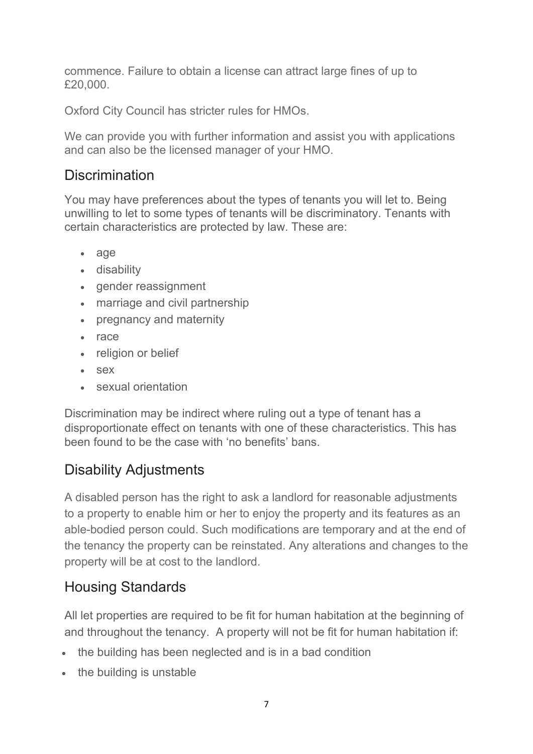commence. Failure to obtain a license can attract large fines of up to £20,000.

Oxford City Council has stricter rules for HMOs.

We can provide you with further information and assist you with applications and can also be the licensed manager of your HMO.

#### **Discrimination**

You may have preferences about the types of tenants you will let to. Being unwilling to let to some types of tenants will be discriminatory. Tenants with certain characteristics are protected by law. These are:

- [age](https://www.equalityhumanrights.com/en/equality-act/protected-characteristics#age)
- [disability](https://www.equalityhumanrights.com/en/equality-act/protected-characteristics#disability)
- [gender reassignment](https://www.equalityhumanrights.com/en/equality-act/protected-characteristics#reassignment)
- [marriage and civil partnership](https://www.equalityhumanrights.com/en/equality-act/protected-characteristics#marriage)
- [pregnancy and maternity](https://www.equalityhumanrights.com/en/equality-act/protected-characteristics#pregmat)
- [race](https://www.equalityhumanrights.com/en/equality-act/protected-characteristics#race)
- [religion or belief](https://www.equalityhumanrights.com/en/equality-act/protected-characteristics#rob)
- [sex](https://www.equalityhumanrights.com/en/equality-act/protected-characteristics#sex)
- [sexual orientation](https://www.equalityhumanrights.com/en/equality-act/protected-characteristics#lgb)

Discrimination may be indirect where ruling out a type of tenant has a disproportionate effect on tenants with one of these characteristics. This has been found to be the case with 'no benefits' bans.

#### Disability Adjustments

A disabled person has the right to ask a landlord for reasonable adjustments to a property to enable him or her to enjoy the property and its features as an able-bodied person could. Such modifications are temporary and at the end of the tenancy the property can be reinstated. Any alterations and changes to the property will be at cost to the landlord.

#### Housing Standards

All let properties are required to be fit for human habitation at the beginning of and throughout the tenancy. A property will not be fit for human habitation if:

- the building has been neglected and is in a bad condition
- the building is unstable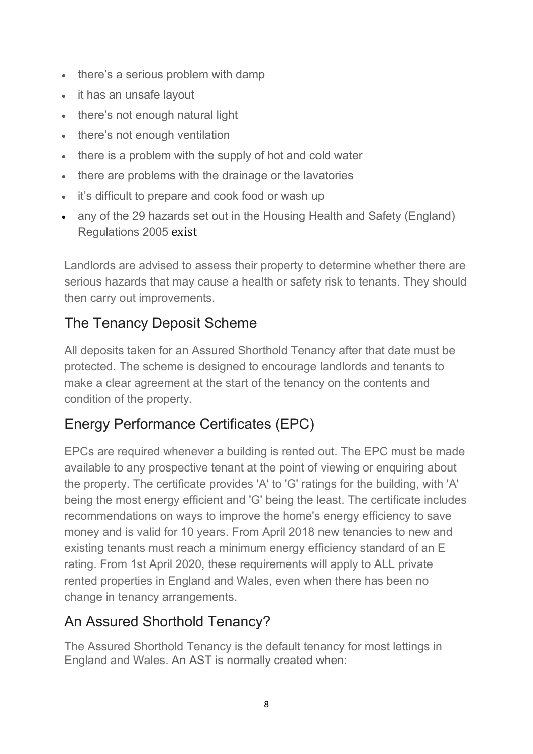- there's a serious problem with damp
- it has an unsafe lavout
- there's not enough natural light
- there's not enough ventilation
- there is a problem with the supply of hot and cold water
- there are problems with the drainage or the lavatories
- it's difficult to prepare and cook food or wash up
- any of the 29 hazards set out in the Housing Health and Safety [\(England\)](http://www.legislation.gov.uk/uksi/2005/3208/contents/made) [Regulations](http://www.legislation.gov.uk/uksi/2005/3208/contents/made) 2005 exist

Landlords are advised to assess their property to determine whether there are serious hazards that may cause a health or safety risk to tenants. They should then carry out improvements.

## The Tenancy Deposit Scheme

All deposits taken for an Assured Shorthold Tenancy after that date must be protected. The scheme is designed to encourage landlords and tenants to make a clear agreement at the start of the tenancy on the contents and condition of the property.

## Energy Performance Certificates (EPC)

EPCs are required whenever a building is rented out. The EPC must be made available to any prospective tenant at the point of viewing or enquiring about the property. The certificate provides 'A' to 'G' ratings for the building, with 'A' being the most energy efficient and 'G' being the least. The certificate includes recommendations on ways to improve the home's energy efficiency to save money and is valid for 10 years. From April 2018 new tenancies to new and existing tenants must reach a minimum energy efficiency standard of an E rating. From 1st April 2020, these requirements will apply to ALL private rented properties in England and Wales, even when there has been no change in tenancy arrangements.

#### An Assured Shorthold Tenancy?

The Assured Shorthold Tenancy is the default tenancy for most lettings in England and Wales. An AST is normally created when: